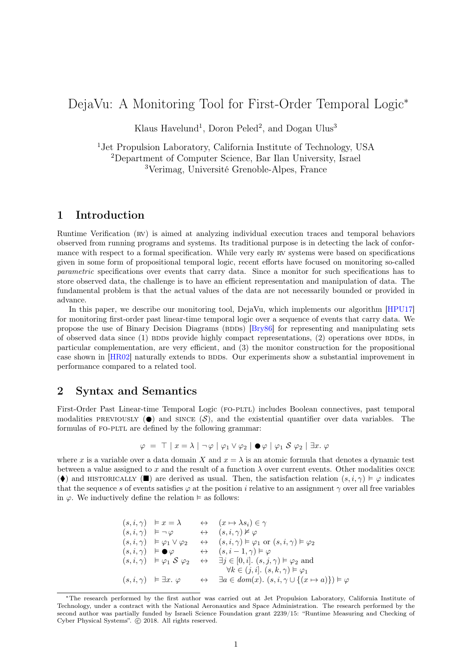# DejaVu: A Monitoring Tool for First-Order Temporal Logic<sup>∗</sup>

Klaus Havelund<sup>1</sup>, Doron Peled<sup>2</sup>, and Dogan Ulus<sup>3</sup>

<sup>1</sup>Jet Propulsion Laboratory, California Institute of Technology, USA <sup>2</sup>Department of Computer Science, Bar Ilan University, Israel <sup>3</sup>Verimag, Université Grenoble-Alpes, France

## 1 Introduction

Runtime Verification (RV) is aimed at analyzing individual execution traces and temporal behaviors observed from running programs and systems. Its traditional purpose is in detecting the lack of conformance with respect to a formal specification. While very early RV systems were based on specifications given in some form of propositional temporal logic, recent efforts have focused on monitoring so-called parametric specifications over events that carry data. Since a monitor for such specifications has to store observed data, the challenge is to have an efficient representation and manipulation of data. The fundamental problem is that the actual values of the data are not necessarily bounded or provided in advance.

In this paper, we describe our monitoring tool, DejaVu, which implements our algorithm [\[HPU17\]](#page-1-0) for monitoring first-order past linear-time temporal logic over a sequence of events that carry data. We propose the use of Binary Decision Diagrams (BDDs) [\[Bry86\]](#page-1-1) for representing and manipulating sets of observed data since  $(1)$  BDDs provide highly compact representations,  $(2)$  operations over BDDs, in particular complementation, are very efficient, and (3) the monitor construction for the propositional case shown in [\[HR02\]](#page-1-2) naturally extends to BDDs. Our experiments show a substantial improvement in performance compared to a related tool.

### 2 Syntax and Semantics

First-Order Past Linear-time Temporal Logic (fo-pltl) includes Boolean connectives, past temporal modalities PREVIOUSLY ( $\bullet$ ) and since  $(\mathcal{S})$ , and the existential quantifier over data variables. The formulas of FO-PLTL are defined by the following grammar:

$$
\varphi = \top | x = \lambda | \neg \varphi | \varphi_1 \vee \varphi_2 | \bullet \varphi | \varphi_1 \mathcal{S} \varphi_2 | \exists x. \varphi
$$

where x is a variable over a data domain X and  $x = \lambda$  is an atomic formula that denotes a dynamic test between a value assigned to x and the result of a function  $\lambda$  over current events. Other modalities ONCE ( $\blacklozenge$ ) and HISTORICALLY ( $\square$ ) are derived as usual. Then, the satisfaction relation  $(s, i, \gamma) \models \varphi$  indicates that the sequence s of events satisfies  $\varphi$  at the position i relative to an assignment  $\gamma$  over all free variables in  $\varphi$ . We inductively define the relation  $\models$  as follows:

$$
(s, i, \gamma) \models x = \lambda \leftrightarrow (x \mapsto \lambda s_i) \in \gamma
$$
  
\n
$$
(s, i, \gamma) \models \neg \varphi \leftrightarrow (s, i, \gamma) \not\models \varphi
$$
  
\n
$$
(s, i, \gamma) \models \varphi_1 \lor \varphi_2 \leftrightarrow (s, i, \gamma) \models \varphi_1 \text{ or } (s, i, \gamma) \models \varphi_2
$$
  
\n
$$
(s, i, \gamma) \models \bullet \varphi \leftrightarrow (s, i - 1, \gamma) \models \varphi
$$
  
\n
$$
(s, i, \gamma) \models \varphi_1 \mathcal{S} \varphi_2 \leftrightarrow \exists j \in [0, i]. (s, j, \gamma) \models \varphi_2 \text{ and}
$$
  
\n
$$
\forall k \in (j, i]. (s, k, \gamma) \models \varphi_1
$$
  
\n
$$
(s, i, \gamma) \models \exists x. \varphi \leftrightarrow \exists a \in dom(x). (s, i, \gamma \cup \{(x \mapsto a)\}) \models \varphi
$$

<sup>∗</sup>The research performed by the first author was carried out at Jet Propulsion Laboratory, California Institute of Technology, under a contract with the National Aeronautics and Space Administration. The research performed by the second author was partially funded by Israeli Science Foundation grant 2239/15: "Runtime Measuring and Checking of Cyber Physical Systems".  $\odot$  2018. All rights reserved.